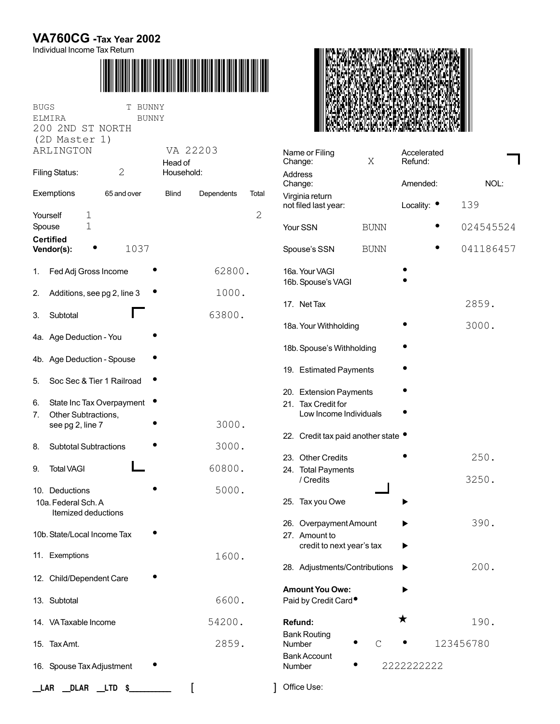## **VA760CG -Tax Year 2002**

Individual Income Tax Return



| <b>BUGS</b><br>ELMIRA<br>200 2ND ST NORTH<br>(2D Master 1) | BUNNY<br>Т<br><b>BUNNY</b>  |                               |        |                                                 |  |
|------------------------------------------------------------|-----------------------------|-------------------------------|--------|-------------------------------------------------|--|
| ARLINGTON                                                  |                             | VA 22203<br>Head of           |        | Name or Filing<br>Change:<br>Address<br>Change: |  |
| $\overline{2}$<br><b>Filing Status:</b>                    |                             | Household:                    |        |                                                 |  |
| Exemptions                                                 | 65 and over                 | Blind<br>Dependents           | Total  | Virginia return                                 |  |
| Yourself<br>$\mathbf 1$                                    |                             |                               | 2      | not filed last year:                            |  |
| $\mathbf 1$<br>Spouse<br><b>Certified</b>                  |                             |                               |        | Your SSN                                        |  |
| Vendor(s):                                                 | 1037                        |                               |        | Spouse's SSN                                    |  |
| Fed Adj Gross Income<br>1.                                 |                             |                               | 62800. | 16a. Your VAGI<br>16b. Spouse's VAGI            |  |
| 2.                                                         | Additions, see pg 2, line 3 | 1000.                         |        |                                                 |  |
| Subtotal<br>3.                                             |                             | 63800.                        |        | 17. Net Tax                                     |  |
| 4a. Age Deduction - You                                    |                             |                               |        | 18a. Your Withholding                           |  |
|                                                            |                             |                               |        | 18b. Spouse's Withh                             |  |
| 4b. Age Deduction - Spouse                                 |                             |                               |        | 19. Estimated Payn                              |  |
| 5.                                                         | Soc Sec & Tier 1 Railroad   |                               |        | 20. Extension Paym                              |  |
| 6.                                                         | State Inc Tax Overpayment   |                               |        | 21. Tax Credit for                              |  |
| Other Subtractions,<br>7.<br>see pg 2, line 7              |                             | 3000.                         |        | Low Income Indi                                 |  |
| <b>Subtotal Subtractions</b><br>8.                         |                             | 3000.                         |        | 22. Credit tax paid a                           |  |
|                                                            |                             |                               |        | 23. Other Credits                               |  |
| <b>Total VAGI</b><br>9.                                    |                             | 60800.                        |        | 24. Total Payments<br>/ Credits                 |  |
| 10. Deductions<br>10a. Federal Sch. A                      |                             | 5000.                         |        | 25. Tax you Owe                                 |  |
| Itemized deductions                                        |                             |                               |        |                                                 |  |
| 10b. State/Local Income Tax                                |                             |                               |        | 26. Overpayment Ar<br>27. Amount to             |  |
| 11. Exemptions                                             |                             |                               |        | credit to next ye                               |  |
|                                                            |                             | 1600.                         |        | 28. Adjustments/Co                              |  |
| 12. Child/Dependent Care                                   |                             |                               |        | <b>Amount You Owe:</b>                          |  |
| 13. Subtotal                                               |                             |                               | 6600.  | Paid by Credit Card                             |  |
| 14. VA Taxable Income                                      |                             | 54200.                        |        | Refund:                                         |  |
| 15. Tax Amt.                                               |                             | 2859.                         |        | <b>Bank Routing</b><br>Number                   |  |
| 16. Spouse Tax Adjustment                                  |                             | <b>Bank Account</b><br>Number |        |                                                 |  |
|                                                            |                             |                               |        |                                                 |  |
| LAR<br>_DLAR                                               | __LTD<br>\$_                |                               |        | Office Use:                                     |  |



| Name or Filing<br>Change:                                              | Χ           | Accelerated<br>Refund: |           |
|------------------------------------------------------------------------|-------------|------------------------|-----------|
| Address<br>Change:                                                     |             | Amended:               | NOL:      |
| Virginia return<br>not filed last year:                                |             | Locality: $\bullet$    | 139       |
| Your SSN                                                               | <b>BUNN</b> |                        | 024545524 |
| Spouse's SSN                                                           | <b>BUNN</b> |                        | 041186457 |
| 16a. Your VAGI<br>16b. Spouse's VAGI                                   |             |                        |           |
| 17. Net Tax                                                            |             |                        | 2859.     |
| 18a. Your Withholding                                                  |             |                        | 3000.     |
| 18b. Spouse's Withholding                                              |             |                        |           |
| 19. Estimated Payments                                                 |             |                        |           |
| 20. Extension Payments<br>21. Tax Credit for<br>Low Income Individuals |             |                        |           |
| 22. Credit tax paid another state •                                    |             |                        |           |
| 23. Other Credits                                                      |             |                        | 250.      |
| 24. Total Payments<br>/ Credits                                        |             |                        | 3250.     |
| 25. Tax you Owe                                                        |             |                        |           |
| 26. Overpayment Amount<br>27. Amount to<br>credit to next year's tax   |             |                        | 390.      |
| 28. Adjustments/Contributions                                          |             |                        | 200.      |
| <b>Amount You Owe:</b><br>Paid by Credit Card <sup>®</sup>             |             |                        |           |
| Refund:                                                                |             | ★                      | 190.      |
| <b>Bank Routing</b><br>Number                                          | C           |                        | 123456780 |
| <b>Bank Account</b><br>Number                                          |             | 222222222              |           |